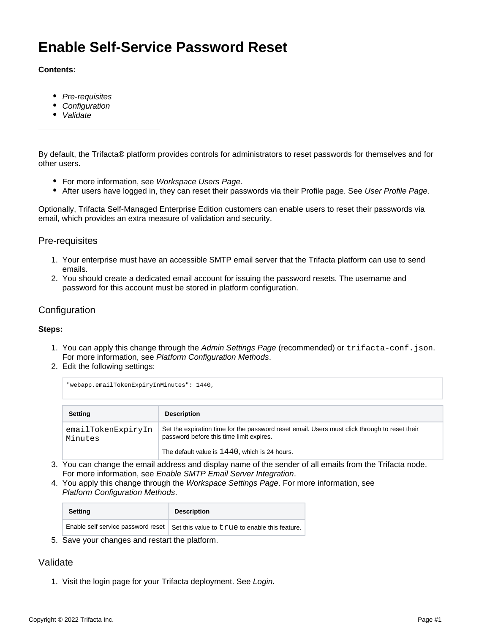# **Enable Self-Service Password Reset**

#### **Contents:**

- [Pre-requisites](#page-0-0)
- [Configuration](#page-0-1)
- [Validate](#page-0-2)

By default, the Trifacta® platform provides controls for administrators to reset passwords for themselves and for other users.

- For more information, see [Workspace Users Page](https://docs.trifacta.com/display/r082/Workspace+Users+Page).
- After users have logged in, they can reset their passwords via their Profile page. See [User Profile Page](https://docs.trifacta.com/display/r082/User+Profile+Page).

Optionally, Trifacta Self-Managed Enterprise Edition customers can enable users to reset their passwords via email, which provides an extra measure of validation and security.

#### <span id="page-0-0"></span>Pre-requisites

- 1. Your enterprise must have an accessible SMTP email server that the Trifacta platform can use to send emails.
- 2. You should create a dedicated email account for issuing the password resets. The username and password for this account must be stored in platform configuration.

### <span id="page-0-1"></span>**Configuration**

#### **Steps:**

- 1. You can apply this change through the [Admin Settings Page](https://docs.trifacta.com/display/r082/Admin+Settings+Page) (recommended) or trifacta-conf.json. For more information, see [Platform Configuration Methods](https://docs.trifacta.com/display/r082/Platform+Configuration+Methods).
- 2. Edit the following settings:

| "webapp.emailTokenExpiryInMinutes": 1440, |                                                                                                                                           |  |
|-------------------------------------------|-------------------------------------------------------------------------------------------------------------------------------------------|--|
| <b>Setting</b>                            | <b>Description</b>                                                                                                                        |  |
| emailTokenExpiryIn<br>Minutes             | Set the expiration time for the password reset email. Users must click through to reset their<br>password before this time limit expires. |  |
|                                           | The default value is $1440$ , which is 24 hours.                                                                                          |  |

- 3. You can change the email address and display name of the sender of all emails from the Trifacta node. For more information, see [Enable SMTP Email Server Integration](https://docs.trifacta.com/display/r082/Enable+SMTP+Email+Server+Integration).
- 4. You apply this change through the [Workspace Settings Page](https://docs.trifacta.com/display/r082/Workspace+Settings+Page). For more information, see [Platform Configuration Methods](https://docs.trifacta.com/display/r082/Platform+Configuration+Methods).

| <b>Setting</b> | <b>Description</b>                                                                  |
|----------------|-------------------------------------------------------------------------------------|
|                | Enable self service password reset   Set this value to true to enable this feature. |

5. Save your changes and restart the platform.

## <span id="page-0-2"></span>Validate

1. Visit the login page for your Trifacta deployment. See [Login](https://docs.trifacta.com/display/r082/Login).